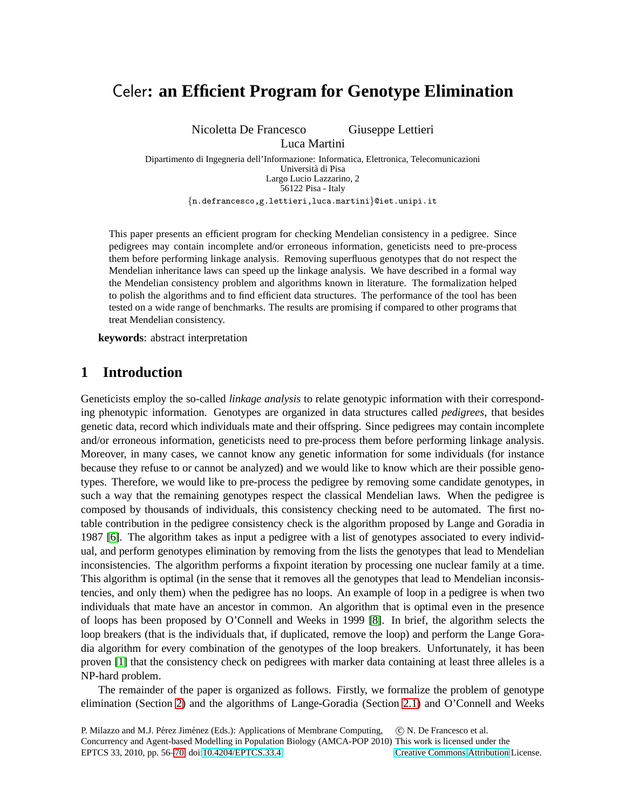# Celer**: an Efficient Program for Genotype Elimination**

Nicoletta De Francesco Giuseppe Lettieri

Luca Martini Dipartimento di Ingegneria dell'Informazione: Informatica, Elettronica, Telecomunicazioni Università di Pisa Largo Lucio Lazzarino, 2 56122 Pisa - Italy

{n.defrancesco,g.lettieri,luca.martini}@iet.unipi.it

This paper presents an efficient program for checking Mendelian consistency in a pedigree. Since pedigrees may contain incomplete and/or erroneous information, geneticists need to pre-process them before performing linkage analysis. Removing superfluous genotypes that do not respect the Mendelian inheritance laws can speed up the linkage analysis. We have described in a formal way the Mendelian consistency problem and algorithms known in literature. The formalization helped to polish the algorithms and to find efficient data structures. The performance of the tool has been tested on a wide range of benchmarks. The results are promising if compared to other programs that treat Mendelian consistency.

**keywords**: abstract interpretation

## **1 Introduction**

Geneticists employ the so-called *linkage analysis* to relate genotypic information with their corresponding phenotypic information. Genotypes are organized in data structures called *pedigrees*, that besides genetic data, record which individuals mate and their offspring. Since pedigrees may contain incomplete and/or erroneous information, geneticists need to pre-process them before performing linkage analysis. Moreover, in many cases, we cannot know any genetic information for some individuals (for instance because they refuse to or cannot be analyzed) and we would like to know which are their possible genotypes. Therefore, we would like to pre-process the pedigree by removing some candidate genotypes, in such a way that the remaining genotypes respect the classical Mendelian laws. When the pedigree is composed by thousands of individuals, this consistency checking need to be automated. The first notable contribution in the pedigree consistency check is the algorithm proposed by Lange and Goradia in 1987 [\[6\]](#page-14-1). The algorithm takes as input a pedigree with a list of genotypes associated to every individual, and perform genotypes elimination by removing from the lists the genotypes that lead to Mendelian inconsistencies. The algorithm performs a fixpoint iteration by processing one nuclear family at a time. This algorithm is optimal (in the sense that it removes all the genotypes that lead to Mendelian inconsistencies, and only them) when the pedigree has no loops. An example of loop in a pedigree is when two individuals that mate have an ancestor in common. An algorithm that is optimal even in the presence of loops has been proposed by O'Connell and Weeks in 1999 [\[8\]](#page-14-2). In brief, the algorithm selects the loop breakers (that is the individuals that, if duplicated, remove the loop) and perform the Lange Goradia algorithm for every combination of the genotypes of the loop breakers. Unfortunately, it has been proven [\[1\]](#page-14-3) that the consistency check on pedigrees with marker data containing at least three alleles is a NP-hard problem.

The remainder of the paper is organized as follows. Firstly, we formalize the problem of genotype elimination (Section [2\)](#page-1-0) and the algorithms of Lange-Goradia (Section [2.1\)](#page-3-0) and O'Connell and Weeks

P. Milazzo and M.J. Pérez Jiménez (Eds.): Applications of Membrane Computing, Concurrency and Agent-based Modelling in Population Biology (AMCA-POP 2010) This work is licensed under the EPTCS 33, 2010, pp. 56[–70,](#page-14-0) doi[:10.4204/EPTCS.33.4](http://dx.doi.org/10.4204/EPTCS.33.4) c N. De Francesco et al. [Creative Commons](http://creativecommons.org) [Attribution](http://creativecommons.org/licenses/by/3.0/) License.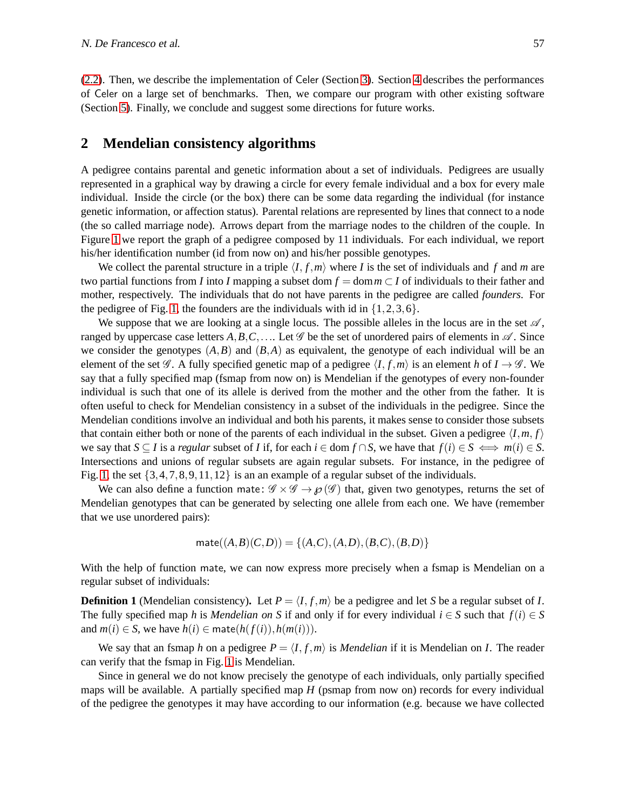[\(2.2\)](#page-4-0). Then, we describe the implementation of Celer (Section [3\)](#page-5-0). Section [4](#page-9-0) describes the performances of Celer on a large set of benchmarks. Then, we compare our program with other existing software (Section [5\)](#page-12-0). Finally, we conclude and suggest some directions for future works.

#### <span id="page-1-0"></span>**2 Mendelian consistency algorithms**

A pedigree contains parental and genetic information about a set of individuals. Pedigrees are usually represented in a graphical way by drawing a circle for every female individual and a box for every male individual. Inside the circle (or the box) there can be some data regarding the individual (for instance genetic information, or affection status). Parental relations are represented by lines that connect to a node (the so called marriage node). Arrows depart from the marriage nodes to the children of the couple. In Figure [1](#page-2-0) we report the graph of a pedigree composed by 11 individuals. For each individual, we report his/her identification number (id from now on) and his/her possible genotypes.

We collect the parental structure in a triple  $\langle I, f, m \rangle$  where *I* is the set of individuals and *f* and *m* are two partial functions from *I* into *I* mapping a subset dom  $f = \text{dom } m \subset I$  of individuals to their father and mother, respectively. The individuals that do not have parents in the pedigree are called *founders*. For the pedigree of Fig. [1,](#page-2-0) the founders are the individuals with id in  $\{1, 2, 3, 6\}$ .

We suppose that we are looking at a single locus. The possible alleles in the locus are in the set  $\mathscr{A}$ , ranged by uppercase case letters  $A, B, C, \ldots$  Let  $\mathscr G$  be the set of unordered pairs of elements in  $\mathscr A$ . Since we consider the genotypes  $(A, B)$  and  $(B, A)$  as equivalent, the genotype of each individual will be an element of the set  $\mathscr G$ . A fully specified genetic map of a pedigree  $\langle I, f, m \rangle$  is an element *h* of  $I \to \mathscr G$ . We say that a fully specified map (fsmap from now on) is Mendelian if the genotypes of every non-founder individual is such that one of its allele is derived from the mother and the other from the father. It is often useful to check for Mendelian consistency in a subset of the individuals in the pedigree. Since the Mendelian conditions involve an individual and both his parents, it makes sense to consider those subsets that contain either both or none of the parents of each individual in the subset. Given a pedigree  $\langle I, m, f \rangle$ we say that  $S \subseteq I$  is a *regular* subset of *I* if, for each  $i \in \text{dom } f \cap S$ , we have that  $f(i) \in S \iff m(i) \in S$ . Intersections and unions of regular subsets are again regular subsets. For instance, in the pedigree of Fig. [1,](#page-2-0) the set  $\{3,4,7,8,9,11,12\}$  is an an example of a regular subset of the individuals.

We can also define a function mate:  $\mathcal{G} \times \mathcal{G} \rightarrow \mathcal{G}(\mathcal{G})$  that, given two genotypes, returns the set of Mendelian genotypes that can be generated by selecting one allele from each one. We have (remember that we use unordered pairs):

$$
\mathsf{mate}((A,B)(C,D)) = \{(A,C), (A,D), (B,C), (B,D)\}
$$

With the help of function mate, we can now express more precisely when a fsmap is Mendelian on a regular subset of individuals:

**Definition 1** (Mendelian consistency). Let  $P = \langle I, f, m \rangle$  be a pedigree and let *S* be a regular subset of *I*. The fully specified map *h* is *Mendelian on* S if and only if for every individual  $i \in S$  such that  $f(i) \in S$ and  $m(i) \in S$ , we have  $h(i) \in \text{mate}(h(f(i)), h(m(i)))$ .

We say that an fsmap *h* on a pedigree  $P = \langle I, f, m \rangle$  is *Mendelian* if it is Mendelian on *I*. The reader can verify that the fsmap in Fig. [1](#page-2-0) is Mendelian.

Since in general we do not know precisely the genotype of each individuals, only partially specified maps will be available. A partially specified map *H* (psmap from now on) records for every individual of the pedigree the genotypes it may have according to our information (e.g. because we have collected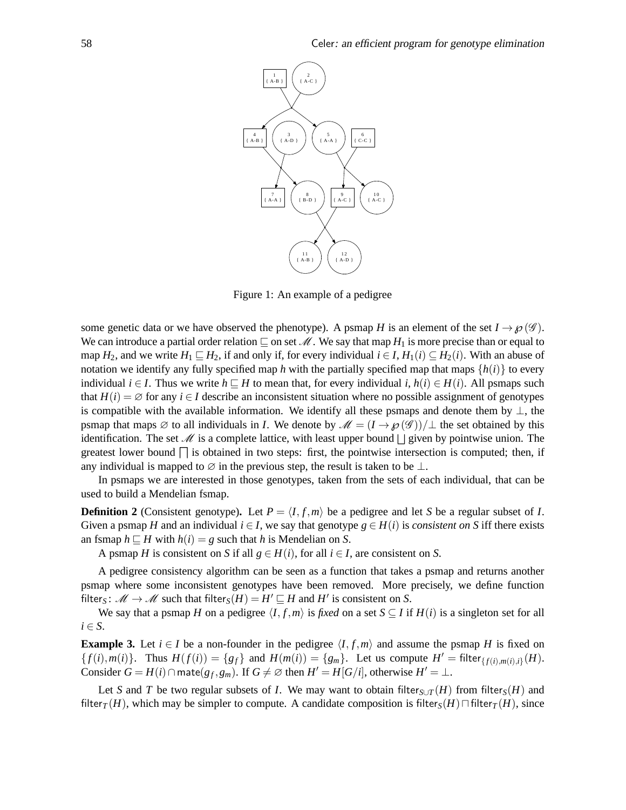

<span id="page-2-0"></span>Figure 1: An example of a pedigree

some genetic data or we have observed the phenotype). A psmap *H* is an element of the set  $I \rightarrow \mathcal{O}(\mathcal{G})$ . We can introduce a partial order relation  $\sqsubseteq$  on set M. We say that map  $H_1$  is more precise than or equal to map *H*<sub>2</sub>, and we write  $H_1 \sqsubseteq H_2$ , if and only if, for every individual  $i \in I$ ,  $H_1(i) \subseteq H_2(i)$ . With an abuse of notation we identify any fully specified map *h* with the partially specified map that maps  $\{h(i)\}$  to every individual *i* ∈ *I*. Thus we write *h* ⊑ *H* to mean that, for every individual *i*, *h*(*i*) ∈ *H*(*i*). All psmaps such that  $H(i) = \emptyset$  for any  $i \in I$  describe an inconsistent situation where no possible assignment of genotypes is compatible with the available information. We identify all these psmaps and denote them by  $\perp$ , the psmap that maps  $\emptyset$  to all individuals in *I*. We denote by  $\mathcal{M} = (I \to \wp(\mathcal{G}))/\bot$  the set obtained by this identification. The set  $\mathcal M$  is a complete lattice, with least upper bound  $\Box$  given by pointwise union. The greatest lower bound  $\Box$  is obtained in two steps: first, the pointwise intersection is computed; then, if any individual is mapped to  $\varnothing$  in the previous step, the result is taken to be  $\bot$ .

In psmaps we are interested in those genotypes, taken from the sets of each individual, that can be used to build a Mendelian fsmap.

**Definition 2** (Consistent genotype). Let  $P = \langle I, f, m \rangle$  be a pedigree and let *S* be a regular subset of *I*. Given a psmap *H* and an individual  $i \in I$ , we say that genotype  $g \in H(i)$  is *consistent on S* iff there exists an fsmap  $h \sqsubseteq H$  with  $h(i) = g$  such that *h* is Mendelian on *S*.

A psmap *H* is consistent on *S* if all  $g \in H(i)$ , for all  $i \in I$ , are consistent on *S*.

A pedigree consistency algorithm can be seen as a function that takes a psmap and returns another psmap where some inconsistent genotypes have been removed. More precisely, we define function filter<sub>*S*</sub>:  $\mathcal{M} \to \mathcal{M}$  such that filter<sub>*S*</sub>(*H*) = *H*<sup> $\prime$ </sup>  $\sqsubseteq$  *H* and *H*<sup> $\prime$ </sup> is consistent on *S*.

<span id="page-2-1"></span>We say that a psmap *H* on a pedigree  $\langle I, f, m \rangle$  is *fixed* on a set *S* ⊆ *I* if *H*(*i*) is a singleton set for all  $i \in S$ .

**Example 3.** Let  $i \in I$  be a non-founder in the pedigree  $\langle I, f, m \rangle$  and assume the psmap *H* is fixed on  $\{f(i), m(i)\}\$ . Thus  $H(f(i)) = \{g_f\}$  and  $H(m(i)) = \{g_m\}$ . Let us compute  $H' = \text{filter}_{\{f(i), m(i), i\}}(H)$ . Consider  $G = H(i) \cap \text{mate}(g_f, g_m)$ . If  $G \neq \emptyset$  then  $H' = H[G/i]$ , otherwise  $H' = \bot$ .

Let *S* and *T* be two regular subsets of *I*. We may want to obtain filter<sub>*S*∪*T*</sub> (*H*) from filter<sub>*S*</sub>(*H*) and filter<sub>*T*</sub>(*H*), which may be simpler to compute. A candidate composition is filter<sub>*S*</sub>(*H*) $\Box$ filter*T*(*H*), since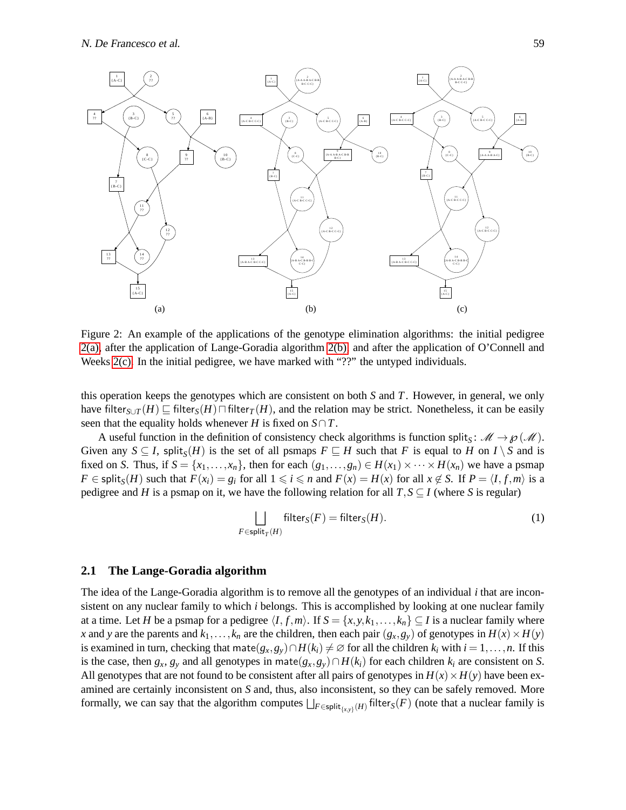<span id="page-3-1"></span>

<span id="page-3-5"></span><span id="page-3-2"></span>Figure 2: An example of the applications of the genotype elimination algorithms: the initial pedigree [2\(a\),](#page-3-1) after the application of Lange-Goradia algorithm [2\(b\),](#page-3-2) and after the application of O'Connell and Weeks [2\(c\).](#page-3-3) In the initial pedigree, we have marked with "??" the untyped individuals.

this operation keeps the genotypes which are consistent on both *S* and *T*. However, in general, we only have filter<sub>*S*∪*T*</sub> (*H*) ⊑ filter<sub>*S*</sub>(*H*) $\sqcap$  filter<sub>*T*</sub>(*H*), and the relation may be strict. Nonetheless, it can be easily seen that the equality holds whenever *H* is fixed on  $S \cap T$ .

A useful function in the definition of consistency check algorithms is function split<sub>S</sub>:  $\mathcal{M} \to \wp(\mathcal{M})$ . Given any  $S \subseteq I$ , split $_S(H)$  is the set of all psmaps  $F \subseteq H$  such that *F* is equal to *H* on *I* \ *S* and is fixed on *S*. Thus, if  $S = \{x_1, \ldots, x_n\}$ , then for each  $(g_1, \ldots, g_n) \in H(x_1) \times \cdots \times H(x_n)$  we have a psmap  $F \in \text{split}_{S}(H)$  such that  $F(x_i) = g_i$  for all  $1 \leq i \leq n$  and  $F(x) = H(x)$  for all  $x \notin S$ . If  $P = \langle I, f, m \rangle$  is a pedigree and *H* is a psmap on it, we have the following relation for all  $T, S \subseteq I$  (where *S* is regular)

<span id="page-3-4"></span><span id="page-3-3"></span>
$$
\bigsqcup_{F \in \text{split}_T(H)} \text{filter}_S(F) = \text{filter}_S(H). \tag{1}
$$

#### <span id="page-3-0"></span>**2.1 The Lange-Goradia algorithm**

The idea of the Lange-Goradia algorithm is to remove all the genotypes of an individual *i* that are inconsistent on any nuclear family to which *i* belongs. This is accomplished by looking at one nuclear family at a time. Let *H* be a psmap for a pedigree  $\langle I, f, m \rangle$ . If  $S = \{x, y, k_1, \ldots, k_n\} \subseteq I$  is a nuclear family where *x* and *y* are the parents and  $k_1, \ldots, k_n$  are the children, then each pair  $(g_x, g_y)$  of genotypes in  $H(x) \times H(y)$ is examined in turn, checking that mate $(g_x, g_y) \cap H(k_i) \neq \emptyset$  for all the children  $k_i$  with  $i = 1, \ldots, n$ . If this is the case, then  $g_x$ ,  $g_y$  and all genotypes in mate $(g_x, g_y) \cap H(k_i)$  for each children  $k_i$  are consistent on *S*. All genotypes that are not found to be consistent after all pairs of genotypes in  $H(x) \times H(y)$  have been examined are certainly inconsistent on *S* and, thus, also inconsistent, so they can be safely removed. More formally, we can say that the algorithm computes  $\bigsqcup_{F \in \text{split}_{\{x,y\}}(H)} \text{filter}_{S}(F)$  (note that a nuclear family is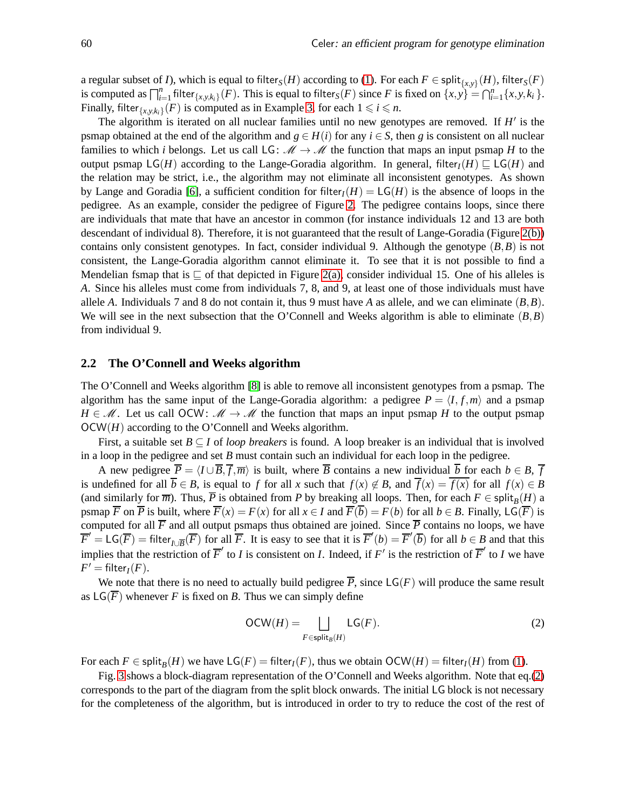a regular subset of *I*), which is equal to filter $_S(H)$  according to [\(1\)](#page-3-4). For each  $F\in\mathsf{split}_{\{x,y\}}(H),$  filter $_S(F)$ is computed as  $\bigcap_{i=1}^n$  filter  $\{x,y,k_i\}$  (*F*). This is equal to filter  $s(F)$  since *F* is fixed on  $\{x,y\} = \bigcap_{i=1}^n \{x,y,k_i\}$ . Finally, filter $_{\{x,y,k_i\}}(F)$  is computed as in Example [3,](#page-2-1) for each  $1 \leq i \leq n$ .

The algorithm is iterated on all nuclear families until no new genotypes are removed. If  $H'$  is the psmap obtained at the end of the algorithm and  $g \in H(i)$  for any  $i \in S$ , then *g* is consistent on all nuclear families to which *i* belongs. Let us call LG:  $M \rightarrow M$  the function that maps an input psmap *H* to the output psmap  $LG(H)$  according to the Lange-Goradia algorithm. In general, filter<sub>*I*</sub>(*H*)  $\subseteq LG(H)$  and the relation may be strict, i.e., the algorithm may not eliminate all inconsistent genotypes. As shown by Lange and Goradia [\[6\]](#page-14-1), a sufficient condition for filter<sub>*I*</sub>(*H*) =  $LG(H)$  is the absence of loops in the pedigree. As an example, consider the pedigree of Figure [2.](#page-3-5) The pedigree contains loops, since there are individuals that mate that have an ancestor in common (for instance individuals 12 and 13 are both descendant of individual 8). Therefore, it is not guaranteed that the result of Lange-Goradia (Figure [2\(b\)\)](#page-3-2) contains only consistent genotypes. In fact, consider individual 9. Although the genotype  $(B, B)$  is not consistent, the Lange-Goradia algorithm cannot eliminate it. To see that it is not possible to find a Mendelian fsmap that is  $\sqsubseteq$  of that depicted in Figure [2\(a\),](#page-3-1) consider individual 15. One of his alleles is *A*. Since his alleles must come from individuals 7, 8, and 9, at least one of those individuals must have allele *A*. Individuals 7 and 8 do not contain it, thus 9 must have *A* as allele, and we can eliminate  $(B, B)$ . We will see in the next subsection that the O'Connell and Weeks algorithm is able to eliminate  $(B, B)$ from individual 9.

#### <span id="page-4-0"></span>**2.2 The O'Connell and Weeks algorithm**

The O'Connell and Weeks algorithm [\[8\]](#page-14-2) is able to remove all inconsistent genotypes from a psmap. The algorithm has the same input of the Lange-Goradia algorithm: a pedigree  $P = \langle I, f, m \rangle$  and a psmap  $H \in \mathcal{M}$ . Let us call OCW:  $\mathcal{M} \to \mathcal{M}$  the function that maps an input psmap *H* to the output psmap OCW(*H*) according to the O'Connell and Weeks algorithm.

First, a suitable set  $B \subseteq I$  of *loop breakers* is found. A loop breaker is an individual that is involved in a loop in the pedigree and set *B* must contain such an individual for each loop in the pedigree.

A new pedigree  $\overline{P} = \langle I \cup \overline{B}, \overline{f}, \overline{m} \rangle$  is built, where  $\overline{B}$  contains a new individual  $\overline{b}$  for each  $b \in B$ ,  $\overline{f}$ is undefined for all  $\overline{b} \in B$ , is equal to *f* for all *x* such that  $f(x) \notin B$ , and  $\overline{f}(x) = \overline{f(x)}$  for all  $f(x) \in B$ (and similarly for  $\overline{m}$ ). Thus,  $\overline{P}$  is obtained from *P* by breaking all loops. Then, for each  $F \in \text{split}_B(H)$  a psmap  $\overline{F}$  on  $\overline{P}$  is built, where  $\overline{F}(x) = F(x)$  for all  $x \in I$  and  $\overline{F}(\overline{b}) = F(b)$  for all  $b \in B$ . Finally,  $\mathsf{LG}(\overline{F})$  is computed for all  $\overline{F}$  and all output psmaps thus obtained are joined. Since  $\overline{P}$  contains no loops, we have  $\overline{F}' = LG(\overline{F})$  filter $\overline{I}$ <sub>*UB*</sub> $(\overline{F})$  for all  $\overline{F}$ . It is easy to see that it is  $\overline{F}'(b) = \overline{F}'(\overline{b})$  for all  $b \in B$  and that this implies that the restriction of  $\overline{F}'$  to *I* is consistent on *I*. Indeed, if  $F'$  is the restriction of  $\overline{F}'$  to *I* we have  $F' = \text{filter}_I(F)$ .

We note that there is no need to actually build pedigree  $\overline{P}$ , since  $\mathsf{L}\mathsf{G}(F)$  will produce the same result as  $LG(\overline{F})$  whenever *F* is fixed on *B*. Thus we can simply define

<span id="page-4-1"></span>
$$
OCW(H) = \bigsqcup_{F \in \text{split}_B(H)} LG(F). \tag{2}
$$

For each  $F \in \text{split}_B(H)$  we have  $\text{LG}(F) = \text{filter}_I(F)$ , thus we obtain  $\text{OCW}(H) = \text{filter}_I(H)$  from [\(1\)](#page-3-4).

Fig. [3](#page-5-1) shows a block-diagram representation of the O'Connell and Weeks algorithm. Note that eq.[\(2\)](#page-4-1) corresponds to the part of the diagram from the split block onwards. The initial LG block is not necessary for the completeness of the algorithm, but is introduced in order to try to reduce the cost of the rest of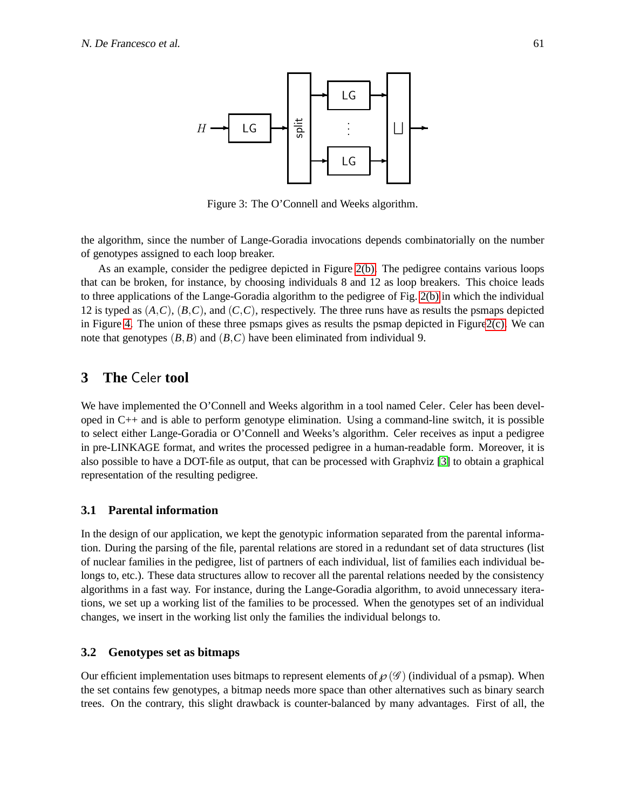<span id="page-5-1"></span>

Figure 3: The O'Connell and Weeks algorithm.

the algorithm, since the number of Lange-Goradia invocations depends combinatorially on the number of genotypes assigned to each loop breaker.

As an example, consider the pedigree depicted in Figure [2\(b\).](#page-3-2) The pedigree contains various loops that can be broken, for instance, by choosing individuals 8 and 12 as loop breakers. This choice leads to three applications of the Lange-Goradia algorithm to the pedigree of Fig. [2\(b\)](#page-3-2) in which the individual 12 is typed as  $(A, C), (B, C)$ , and  $(C, C)$ , respectively. The three runs have as results the psmaps depicted in Figure [4.](#page-6-0) The union of these three psmaps gives as results the psmap depicted in Figur[e2\(c\).](#page-3-3) We can note that genotypes  $(B, B)$  and  $(B, C)$  have been eliminated from individual 9.

## <span id="page-5-0"></span>**3 The** Celer **tool**

We have implemented the O'Connell and Weeks algorithm in a tool named Celer. Celer has been developed in C++ and is able to perform genotype elimination. Using a command-line switch, it is possible to select either Lange-Goradia or O'Connell and Weeks's algorithm. Celer receives as input a pedigree in pre-LINKAGE format, and writes the processed pedigree in a human-readable form. Moreover, it is also possible to have a DOT-file as output, that can be processed with Graphviz [\[3\]](#page-14-4) to obtain a graphical representation of the resulting pedigree.

#### **3.1 Parental information**

In the design of our application, we kept the genotypic information separated from the parental information. During the parsing of the file, parental relations are stored in a redundant set of data structures (list of nuclear families in the pedigree, list of partners of each individual, list of families each individual belongs to, etc.). These data structures allow to recover all the parental relations needed by the consistency algorithms in a fast way. For instance, during the Lange-Goradia algorithm, to avoid unnecessary iterations, we set up a working list of the families to be processed. When the genotypes set of an individual changes, we insert in the working list only the families the individual belongs to.

#### **3.2 Genotypes set as bitmaps**

Our efficient implementation uses bitmaps to represent elements of  $\mathcal{O}(\mathcal{G})$  (individual of a psmap). When the set contains few genotypes, a bitmap needs more space than other alternatives such as binary search trees. On the contrary, this slight drawback is counter-balanced by many advantages. First of all, the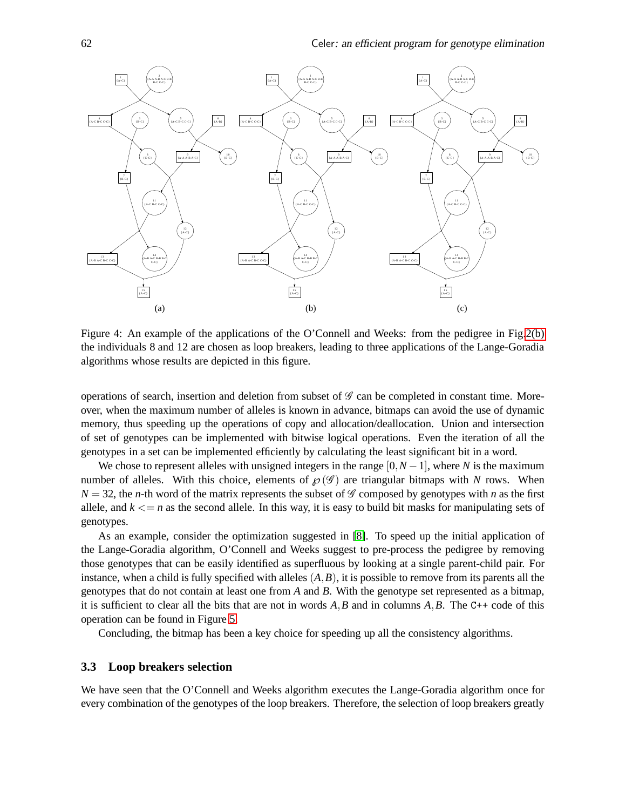

<span id="page-6-0"></span>Figure 4: An example of the applications of the O'Connell and Weeks: from the pedigree in Fig[.2\(b\)](#page-3-2) the individuals 8 and 12 are chosen as loop breakers, leading to three applications of the Lange-Goradia algorithms whose results are depicted in this figure.

operations of search, insertion and deletion from subset of  $\mathscr G$  can be completed in constant time. Moreover, when the maximum number of alleles is known in advance, bitmaps can avoid the use of dynamic memory, thus speeding up the operations of copy and allocation/deallocation. Union and intersection of set of genotypes can be implemented with bitwise logical operations. Even the iteration of all the genotypes in a set can be implemented efficiently by calculating the least significant bit in a word.

We chose to represent alleles with unsigned integers in the range  $[0,N-1]$ , where *N* is the maximum number of alleles. With this choice, elements of  $\mathcal{O}(\mathcal{G})$  are triangular bitmaps with *N* rows. When  $N = 32$ , the *n*-th word of the matrix represents the subset of G composed by genotypes with *n* as the first allele, and  $k \leq n$  as the second allele. In this way, it is easy to build bit masks for manipulating sets of genotypes.

As an example, consider the optimization suggested in [\[8\]](#page-14-2). To speed up the initial application of the Lange-Goradia algorithm, O'Connell and Weeks suggest to pre-process the pedigree by removing those genotypes that can be easily identified as superfluous by looking at a single parent-child pair. For instance, when a child is fully specified with alleles  $(A, B)$ , it is possible to remove from its parents all the genotypes that do not contain at least one from *A* and *B*. With the genotype set represented as a bitmap, it is sufficient to clear all the bits that are not in words *A*,*B* and in columns *A*,*B*. The C++ code of this operation can be found in Figure [5.](#page-7-0)

Concluding, the bitmap has been a key choice for speeding up all the consistency algorithms.

#### <span id="page-6-1"></span>**3.3 Loop breakers selection**

We have seen that the O'Connell and Weeks algorithm executes the Lange-Goradia algorithm once for every combination of the genotypes of the loop breakers. Therefore, the selection of loop breakers greatly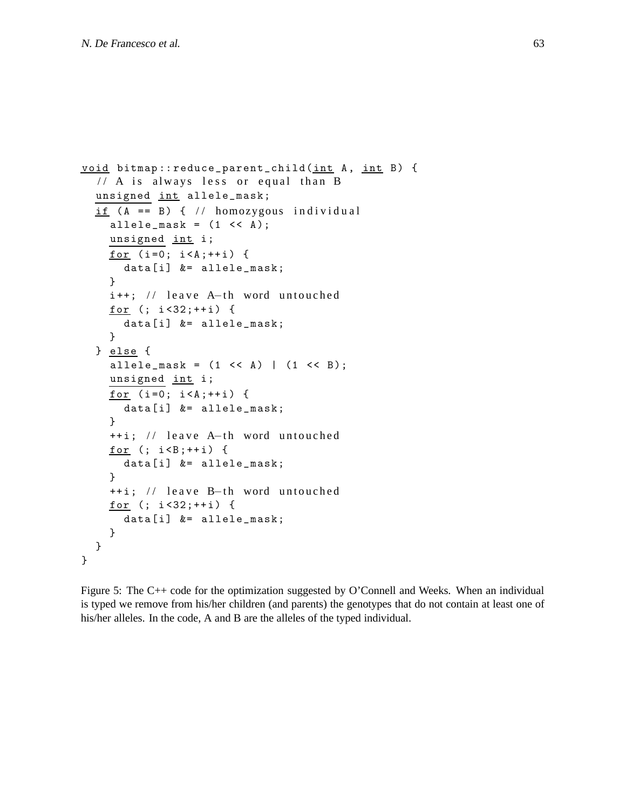```
void bitmap:: reduce_parent_child (int A, int B) {
  // A is always less or equal than B
  unsigned int allele_mask;
  if (A == B) { // homozygous individual}allele_mask = (1 \leq A);
    unsigned int i;
    for (i=0; i < A; ++i) {
      data [i] &= allele_mask;
    }
    i++; // leave A-th word untouched
    for (i \ i < 32; ++i) {
      data [i] &= allele_mask;
    }
  } else {
    allele_mask = (1 \le A) | (1 \le B);
    unsigned int i;
    for (i=0; i < A; ++i) {
      data [i] &= allele_mask;
    }
    ++i; // leave A-th word untouched
    for (i : i < B; ++i) {
      data [i] &= allele_mask;
    }
    ++i; // leave B-th word untouched
    for (i \ i < 32; ++i) {
      data [i] &= allele_mask;
    }
  }
}
```
<span id="page-7-0"></span>Figure 5: The C++ code for the optimization suggested by O'Connell and Weeks. When an individual is typed we remove from his/her children (and parents) the genotypes that do not contain at least one of his/her alleles. In the code, A and B are the alleles of the typed individual.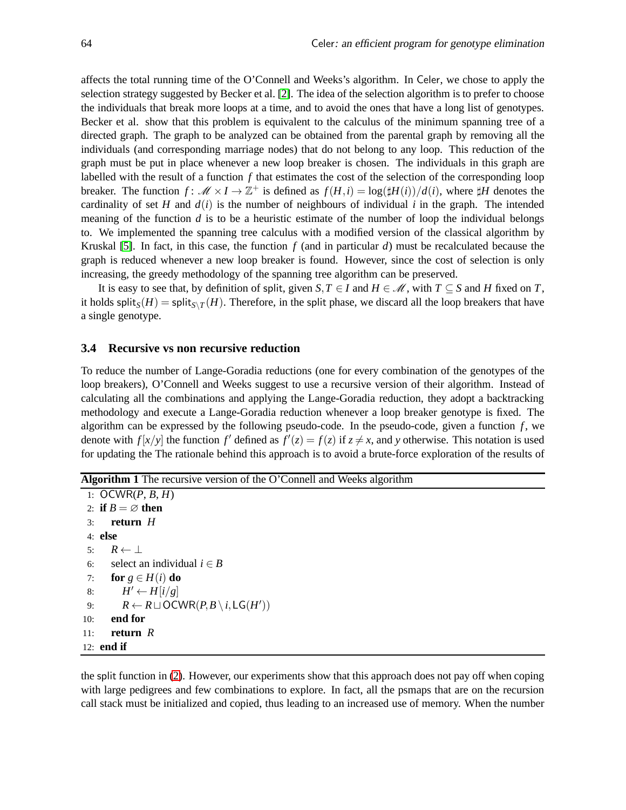affects the total running time of the O'Connell and Weeks's algorithm. In Celer, we chose to apply the selection strategy suggested by Becker et al. [\[2\]](#page-14-5). The idea of the selection algorithm is to prefer to choose the individuals that break more loops at a time, and to avoid the ones that have a long list of genotypes. Becker et al. show that this problem is equivalent to the calculus of the minimum spanning tree of a directed graph. The graph to be analyzed can be obtained from the parental graph by removing all the individuals (and corresponding marriage nodes) that do not belong to any loop. This reduction of the graph must be put in place whenever a new loop breaker is chosen. The individuals in this graph are labelled with the result of a function *f* that estimates the cost of the selection of the corresponding loop breaker. The function  $f: \mathcal{M} \times I \to \mathbb{Z}^+$  is defined as  $f(H,i) = \log(\sharp H(i))/d(i)$ , where  $\sharp H$  denotes the cardinality of set *H* and  $d(i)$  is the number of neighbours of individual *i* in the graph. The intended meaning of the function *d* is to be a heuristic estimate of the number of loop the individual belongs to. We implemented the spanning tree calculus with a modified version of the classical algorithm by Kruskal [\[5\]](#page-14-6). In fact, in this case, the function  $f$  (and in particular  $d$ ) must be recalculated because the graph is reduced whenever a new loop breaker is found. However, since the cost of selection is only increasing, the greedy methodology of the spanning tree algorithm can be preserved.

It is easy to see that, by definition of split, given *S*,  $T \in I$  and  $H \in \mathcal{M}$ , with  $T \subseteq S$  and *H* fixed on *T*, it holds  $\text{split}_S(H) = \text{split}_{S \setminus T}(H)$ . Therefore, in the split phase, we discard all the loop breakers that have a single genotype.

#### **3.4 Recursive vs non recursive reduction**

To reduce the number of Lange-Goradia reductions (one for every combination of the genotypes of the loop breakers), O'Connell and Weeks suggest to use a recursive version of their algorithm. Instead of calculating all the combinations and applying the Lange-Goradia reduction, they adopt a backtracking methodology and execute a Lange-Goradia reduction whenever a loop breaker genotype is fixed. The algorithm can be expressed by the following pseudo-code. In the pseudo-code, given a function  $f$ , we denote with  $f[x/y]$  the function  $f'$  defined as  $f'(z) = f(z)$  if  $z \neq x$ , and y otherwise. This notation is used for updating the The rationale behind this approach is to avoid a brute-force exploration of the results of

**Algorithm 1** The recursive version of the O'Connell and Weeks algorithm

```
1: OCWR(P, B, H)2: if B = \emptyset then
 3: return H
 4: else
 5: R \leftarrow \perp6: select an individual i \in B7: for g \in H(i) do
 8: H' \leftarrow H[i/g]9: R \leftarrow R \sqcup \text{OCWR}(P,B \setminus i, \text{LG}(H'))10: end for
11: return R
12: end if
```
the split function in [\(2\)](#page-4-1). However, our experiments show that this approach does not pay off when coping with large pedigrees and few combinations to explore. In fact, all the psmaps that are on the recursion call stack must be initialized and copied, thus leading to an increased use of memory. When the number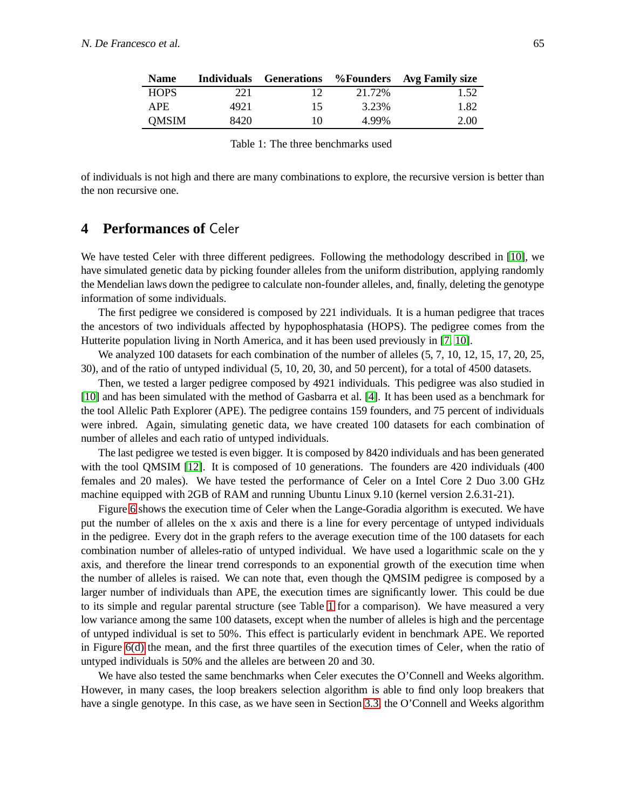| <b>Name</b>  | <b>Individuals</b> |    |        | <b>Generations</b> %Founders Avg Family size |
|--------------|--------------------|----|--------|----------------------------------------------|
| <b>HOPS</b>  | 221                |    | 21.72% | 1.52                                         |
| APE.         | 4921               | 15 | 3.23%  | 1.82                                         |
| <b>OMSIM</b> | 8420               | 10 | 4 99%  | 2.00                                         |

<span id="page-9-1"></span>Table 1: The three benchmarks used

of individuals is not high and there are many combinations to explore, the recursive version is better than the non recursive one.

## <span id="page-9-0"></span>**4 Performances of** Celer

We have tested Celer with three different pedigrees. Following the methodology described in [\[10\]](#page-14-7), we have simulated genetic data by picking founder alleles from the uniform distribution, applying randomly the Mendelian laws down the pedigree to calculate non-founder alleles, and, finally, deleting the genotype information of some individuals.

The first pedigree we considered is composed by 221 individuals. It is a human pedigree that traces the ancestors of two individuals affected by hypophosphatasia (HOPS). The pedigree comes from the Hutterite population living in North America, and it has been used previously in [\[7,](#page-14-8) [10\]](#page-14-7).

We analyzed 100 datasets for each combination of the number of alleles  $(5, 7, 10, 12, 15, 17, 20, 25,$ 30), and of the ratio of untyped individual (5, 10, 20, 30, and 50 percent), for a total of 4500 datasets.

Then, we tested a larger pedigree composed by 4921 individuals. This pedigree was also studied in [\[10\]](#page-14-7) and has been simulated with the method of Gasbarra et al. [\[4\]](#page-14-9). It has been used as a benchmark for the tool Allelic Path Explorer (APE). The pedigree contains 159 founders, and 75 percent of individuals were inbred. Again, simulating genetic data, we have created 100 datasets for each combination of number of alleles and each ratio of untyped individuals.

The last pedigree we tested is even bigger. It is composed by 8420 individuals and has been generated with the tool QMSIM [\[12\]](#page-14-10). It is composed of 10 generations. The founders are 420 individuals (400) females and 20 males). We have tested the performance of Celer on a Intel Core 2 Duo 3.00 GHz machine equipped with 2GB of RAM and running Ubuntu Linux 9.10 (kernel version 2.6.31-21).

Figure [6](#page-10-0) shows the execution time of Celer when the Lange-Goradia algorithm is executed. We have put the number of alleles on the x axis and there is a line for every percentage of untyped individuals in the pedigree. Every dot in the graph refers to the average execution time of the 100 datasets for each combination number of alleles-ratio of untyped individual. We have used a logarithmic scale on the y axis, and therefore the linear trend corresponds to an exponential growth of the execution time when the number of alleles is raised. We can note that, even though the QMSIM pedigree is composed by a larger number of individuals than APE, the execution times are significantly lower. This could be due to its simple and regular parental structure (see Table [1](#page-9-1) for a comparison). We have measured a very low variance among the same 100 datasets, except when the number of alleles is high and the percentage of untyped individual is set to 50%. This effect is particularly evident in benchmark APE. We reported in Figure [6\(d\)](#page-10-1) the mean, and the first three quartiles of the execution times of Celer, when the ratio of untyped individuals is 50% and the alleles are between 20 and 30.

We have also tested the same benchmarks when Celer executes the O'Connell and Weeks algorithm. However, in many cases, the loop breakers selection algorithm is able to find only loop breakers that have a single genotype. In this case, as we have seen in Section [3.3,](#page-6-1) the O'Connell and Weeks algorithm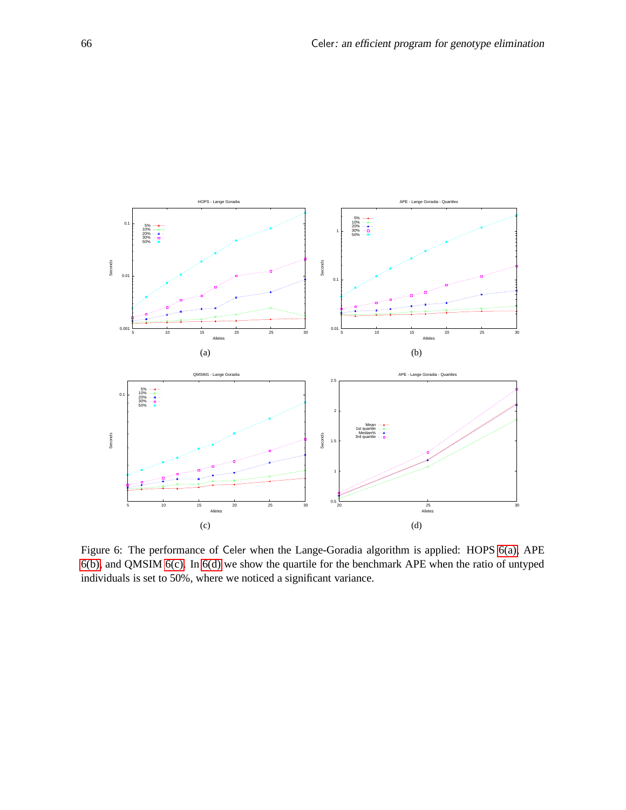<span id="page-10-4"></span><span id="page-10-3"></span><span id="page-10-2"></span>

<span id="page-10-1"></span><span id="page-10-0"></span>Figure 6: The performance of Celer when the Lange-Goradia algorithm is applied: HOPS [6\(a\),](#page-10-2) APE [6\(b\),](#page-10-3) and QMSIM [6\(c\).](#page-10-4) In [6\(d\)](#page-10-1) we show the quartile for the benchmark APE when the ratio of untyped individuals is set to 50%, where we noticed a significant variance.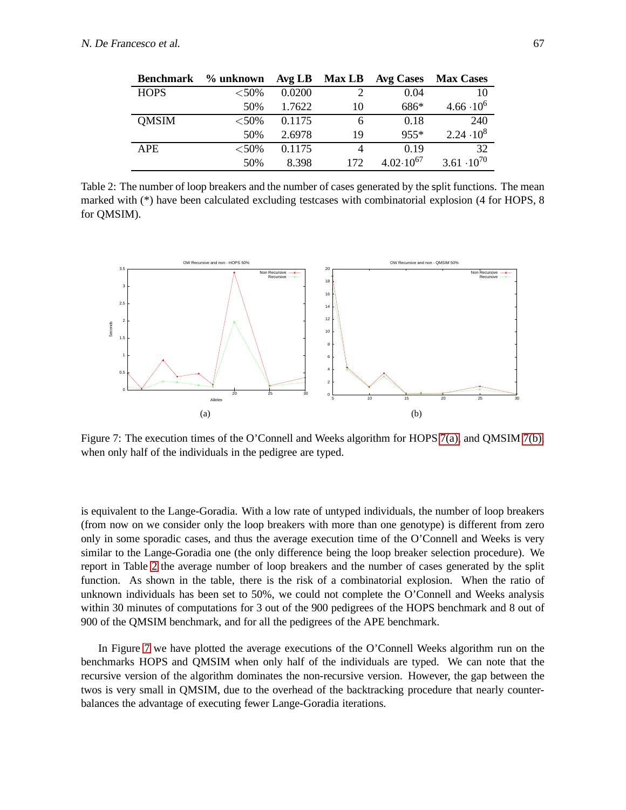| <b>Benchmark</b> | $%$ unknown |        | Avg LB Max LB | <b>Avg Cases</b>     | <b>Max Cases</b>     |
|------------------|-------------|--------|---------------|----------------------|----------------------|
| <b>HOPS</b>      | ${<}50\%$   | 0.0200 | $\mathcal{D}$ | 0.04                 | 10                   |
|                  | 50%         | 1.7622 | 10            | 686*                 | $4.66 \cdot 10^6$    |
| <b>OMSIM</b>     | ${<}50\%$   | 0.1175 | 6             | 0.18                 | 240                  |
|                  | 50%         | 2.6978 | 19            | $955*$               | $2.24 \cdot 10^8$    |
| <b>APE</b>       | ${<}50\%$   | 0.1175 |               | 0.19                 | 32                   |
|                  | 50%         | 8.398  | 172           | $4.02 \cdot 10^{67}$ | $3.61 \cdot 10^{70}$ |

<span id="page-11-2"></span>Table 2: The number of loop breakers and the number of cases generated by the split functions. The mean marked with (\*) have been calculated excluding testcases with combinatorial explosion (4 for HOPS, 8 for QMSIM).

<span id="page-11-0"></span>

<span id="page-11-3"></span><span id="page-11-1"></span>Figure 7: The execution times of the O'Connell and Weeks algorithm for HOPS [7\(a\),](#page-11-0) and QMSIM [7\(b\),](#page-11-1) when only half of the individuals in the pedigree are typed.

is equivalent to the Lange-Goradia. With a low rate of untyped individuals, the number of loop breakers (from now on we consider only the loop breakers with more than one genotype) is different from zero only in some sporadic cases, and thus the average execution time of the O'Connell and Weeks is very similar to the Lange-Goradia one (the only difference being the loop breaker selection procedure). We report in Table [2](#page-11-2) the average number of loop breakers and the number of cases generated by the split function. As shown in the table, there is the risk of a combinatorial explosion. When the ratio of unknown individuals has been set to 50%, we could not complete the O'Connell and Weeks analysis within 30 minutes of computations for 3 out of the 900 pedigrees of the HOPS benchmark and 8 out of 900 of the QMSIM benchmark, and for all the pedigrees of the APE benchmark.

In Figure [7](#page-11-3) we have plotted the average executions of the O'Connell Weeks algorithm run on the benchmarks HOPS and QMSIM when only half of the individuals are typed. We can note that the recursive version of the algorithm dominates the non-recursive version. However, the gap between the twos is very small in QMSIM, due to the overhead of the backtracking procedure that nearly counterbalances the advantage of executing fewer Lange-Goradia iterations.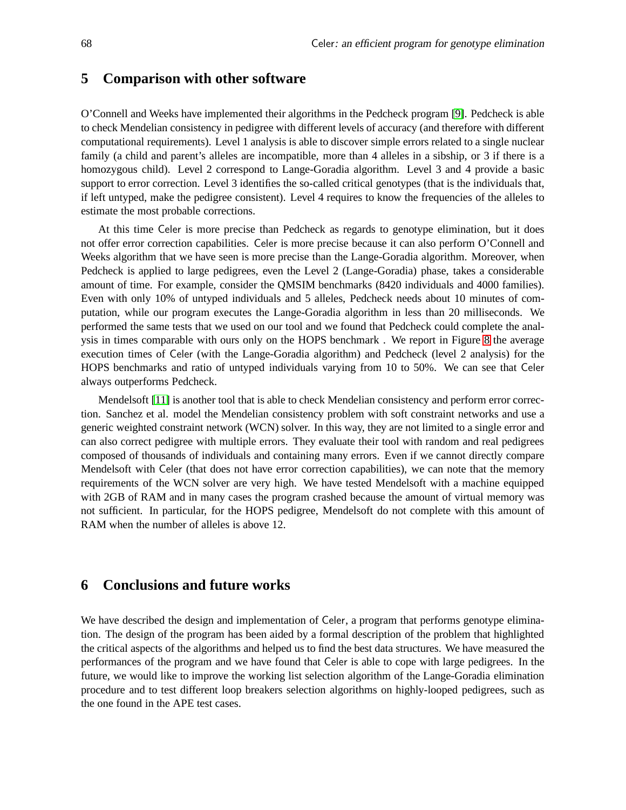### <span id="page-12-0"></span>**5 Comparison with other software**

O'Connell and Weeks have implemented their algorithms in the Pedcheck program [\[9\]](#page-14-11). Pedcheck is able to check Mendelian consistency in pedigree with different levels of accuracy (and therefore with different computational requirements). Level 1 analysis is able to discover simple errors related to a single nuclear family (a child and parent's alleles are incompatible, more than 4 alleles in a sibship, or 3 if there is a homozygous child). Level 2 correspond to Lange-Goradia algorithm. Level 3 and 4 provide a basic support to error correction. Level 3 identifies the so-called critical genotypes (that is the individuals that, if left untyped, make the pedigree consistent). Level 4 requires to know the frequencies of the alleles to estimate the most probable corrections.

At this time Celer is more precise than Pedcheck as regards to genotype elimination, but it does not offer error correction capabilities. Celer is more precise because it can also perform O'Connell and Weeks algorithm that we have seen is more precise than the Lange-Goradia algorithm. Moreover, when Pedcheck is applied to large pedigrees, even the Level 2 (Lange-Goradia) phase, takes a considerable amount of time. For example, consider the QMSIM benchmarks (8420 individuals and 4000 families). Even with only 10% of untyped individuals and 5 alleles, Pedcheck needs about 10 minutes of computation, while our program executes the Lange-Goradia algorithm in less than 20 milliseconds. We performed the same tests that we used on our tool and we found that Pedcheck could complete the analysis in times comparable with ours only on the HOPS benchmark . We report in Figure [8](#page-13-0) the average execution times of Celer (with the Lange-Goradia algorithm) and Pedcheck (level 2 analysis) for the HOPS benchmarks and ratio of untyped individuals varying from 10 to 50%. We can see that Celer always outperforms Pedcheck.

Mendelsoft [\[11\]](#page-14-12) is another tool that is able to check Mendelian consistency and perform error correction. Sanchez et al. model the Mendelian consistency problem with soft constraint networks and use a generic weighted constraint network (WCN) solver. In this way, they are not limited to a single error and can also correct pedigree with multiple errors. They evaluate their tool with random and real pedigrees composed of thousands of individuals and containing many errors. Even if we cannot directly compare Mendelsoft with Celer (that does not have error correction capabilities), we can note that the memory requirements of the WCN solver are very high. We have tested Mendelsoft with a machine equipped with 2GB of RAM and in many cases the program crashed because the amount of virtual memory was not sufficient. In particular, for the HOPS pedigree, Mendelsoft do not complete with this amount of RAM when the number of alleles is above 12.

### **6 Conclusions and future works**

We have described the design and implementation of Celer, a program that performs genotype elimination. The design of the program has been aided by a formal description of the problem that highlighted the critical aspects of the algorithms and helped us to find the best data structures. We have measured the performances of the program and we have found that Celer is able to cope with large pedigrees. In the future, we would like to improve the working list selection algorithm of the Lange-Goradia elimination procedure and to test different loop breakers selection algorithms on highly-looped pedigrees, such as the one found in the APE test cases.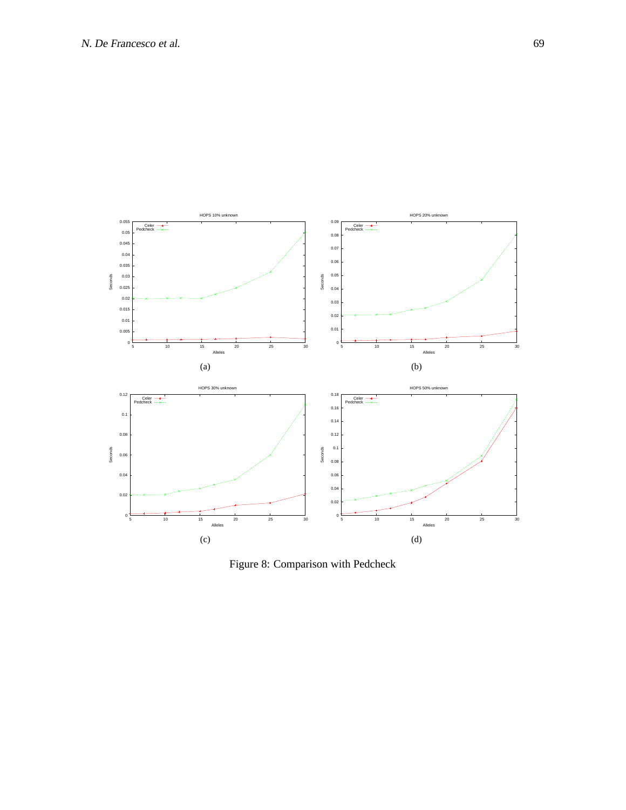

<span id="page-13-0"></span>Figure 8: Comparison with Pedcheck